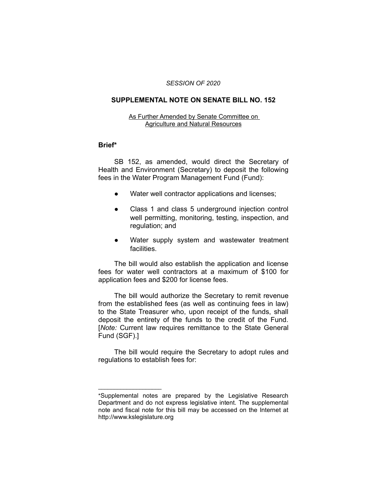#### *SESSION OF 2020*

## **SUPPLEMENTAL NOTE ON SENATE BILL NO. 152**

#### As Further Amended by Senate Committee on Agriculture and Natural Resources

### **Brief\***

SB 152, as amended, would direct the Secretary of Health and Environment (Secretary) to deposit the following fees in the Water Program Management Fund (Fund):

- Water well contractor applications and licenses;
- Class 1 and class 5 underground injection control well permitting, monitoring, testing, inspection, and regulation; and
- Water supply system and wastewater treatment facilities.

The bill would also establish the application and license fees for water well contractors at a maximum of \$100 for application fees and \$200 for license fees.

The bill would authorize the Secretary to remit revenue from the established fees (as well as continuing fees in law) to the State Treasurer who, upon receipt of the funds, shall deposit the entirety of the funds to the credit of the Fund. [*Note:* Current law requires remittance to the State General Fund (SGF).]

The bill would require the Secretary to adopt rules and regulations to establish fees for:

 $\overline{\phantom{a}}$  , where  $\overline{\phantom{a}}$  , where  $\overline{\phantom{a}}$ 

<sup>\*</sup>Supplemental notes are prepared by the Legislative Research Department and do not express legislative intent. The supplemental note and fiscal note for this bill may be accessed on the Internet at http://www.kslegislature.org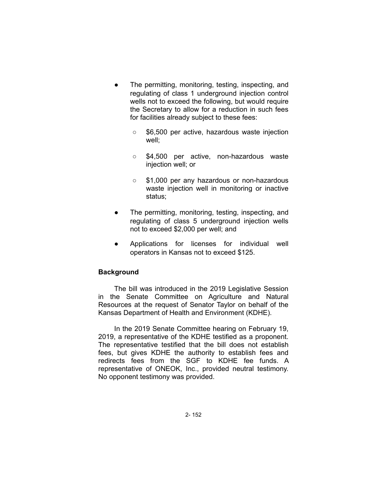- The permitting, monitoring, testing, inspecting, and regulating of class 1 underground injection control wells not to exceed the following, but would require the Secretary to allow for a reduction in such fees for facilities already subject to these fees:
	- \$6,500 per active, hazardous waste injection well;
	- \$4,500 per active, non-hazardous waste injection well; or
	- \$1,000 per any hazardous or non-hazardous waste injection well in monitoring or inactive status;
- The permitting, monitoring, testing, inspecting, and regulating of class 5 underground injection wells not to exceed \$2,000 per well; and
- Applications for licenses for individual well operators in Kansas not to exceed \$125.

# **Background**

The bill was introduced in the 2019 Legislative Session in the Senate Committee on Agriculture and Natural Resources at the request of Senator Taylor on behalf of the Kansas Department of Health and Environment (KDHE).

In the 2019 Senate Committee hearing on February 19, 2019, a representative of the KDHE testified as a proponent. The representative testified that the bill does not establish fees, but gives KDHE the authority to establish fees and redirects fees from the SGF to KDHE fee funds. A representative of ONEOK, Inc., provided neutral testimony. No opponent testimony was provided.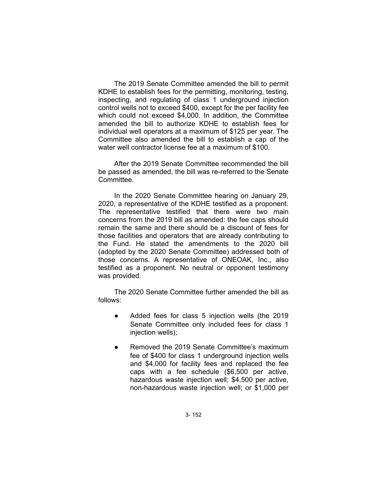The 2019 Senate Committee amended the bill to permit KDHE to establish fees for the permitting, monitoring, testing, inspecting, and regulating of class 1 underground injection control wells not to exceed \$400, except for the per facility fee which could not exceed \$4,000. In addition, the Committee amended the bill to authorize KDHE to establish fees for individual well operators at a maximum of \$125 per year. The Committee also amended the bill to establish a cap of the water well contractor license fee at a maximum of \$100.

After the 2019 Senate Committee recommended the bill be passed as amended, the bill was re-referred to the Senate Committee.

In the 2020 Senate Committee hearing on January 29, 2020, a representative of the KDHE testified as a proponent. The representative testified that there were two main concerns from the 2019 bill as amended: the fee caps should remain the same and there should be a discount of fees for those facilities and operators that are already contributing to the Fund. He stated the amendments to the 2020 bill (adopted by the 2020 Senate Committee) addressed both of those concerns. A representative of ONEOAK, Inc., also testified as a proponent. No neutral or opponent testimony was provided.

The 2020 Senate Committee further amended the bill as follows:

- Added fees for class 5 injection wells (the 2019 Senate Committee only included fees for class 1 injection wells);
- Removed the 2019 Senate Committee's maximum fee of \$400 for class 1 underground injection wells and \$4,000 for facility fees and replaced the fee caps with a fee schedule (\$6,500 per active, hazardous waste injection well; \$4,500 per active, non-hazardous waste injection well; or \$1,000 per